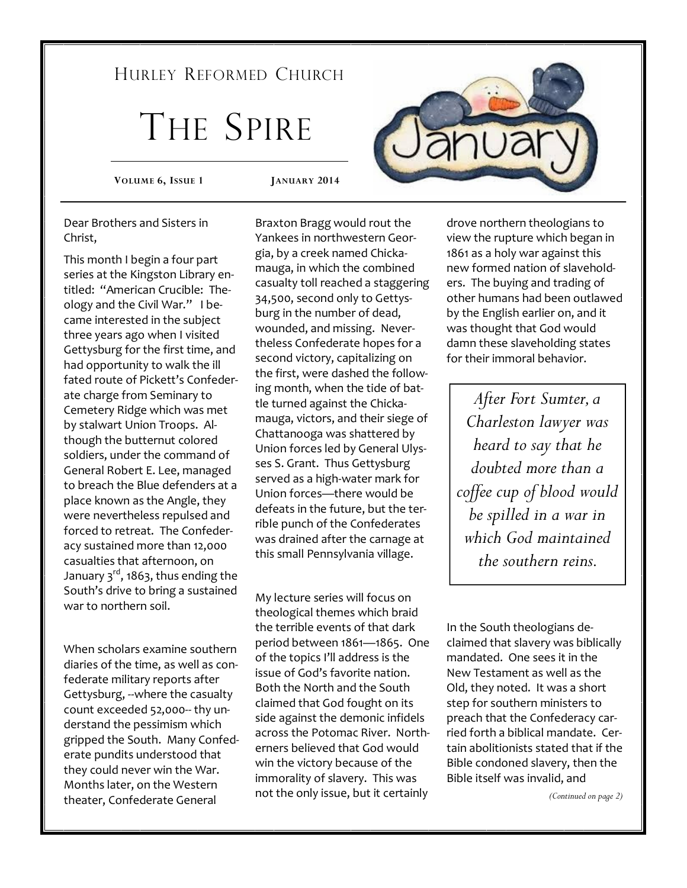## HURLEY REFORMED CHURCH

# THE SPIRE

**VOLUME 6, ISSUE 1 JANUARY 2014** 

Dear Brothers and Sisters in Christ,

This month I begin a four part series at the Kingston Library entitled: "American Crucible: Theology and the Civil War." I became interested in the subject three years ago when I visited Gettysburg for the first time, and had opportunity to walk the ill fated route of Pickett's Confederate charge from Seminary to Cemetery Ridge which was met by stalwart Union Troops. Although the butternut colored soldiers, under the command of General Robert E. Lee, managed to breach the Blue defenders at a place known as the Angle, they were nevertheless repulsed and forced to retreat. The Confederacy sustained more than 12,000 casualties that afternoon, on January  $3<sup>rd</sup>$ , 1863, thus ending the South's drive to bring a sustained war to northern soil.

When scholars examine southern diaries of the time, as well as confederate military reports after Gettysburg, --where the casualty count exceeded 52,000-- thy understand the pessimism which gripped the South. Many Confederate pundits understood that they could never win the War. Months later, on the Western theater, Confederate General

Braxton Bragg would rout the Yankees in northwestern Georgia, by a creek named Chickamauga, in which the combined casualty toll reached a staggering 34,500, second only to Gettysburg in the number of dead, wounded, and missing. Nevertheless Confederate hopes for a second victory, capitalizing on the first, were dashed the following month, when the tide of battle turned against the Chickamauga, victors, and their siege of Chattanooga was shattered by Union forces led by General Ulysses S. Grant. Thus Gettysburg served as a high-water mark for Union forces—there would be defeats in the future, but the terrible punch of the Confederates was drained after the carnage at this small Pennsylvania village.

My lecture series will focus on theological themes which braid the terrible events of that dark period between 1861—1865. One of the topics I'll address is the issue of God's favorite nation. Both the North and the South claimed that God fought on its side against the demonic infidels across the Potomac River. Northerners believed that God would win the victory because of the immorality of slavery. This was not the only issue, but it certainly



drove northern theologians to view the rupture which began in 1861 as a holy war against this new formed nation of slaveholders. The buying and trading of other humans had been outlawed by the English earlier on, and it was thought that God would damn these slaveholding states for their immoral behavior.

*After Fort Sumter, a Charleston lawyer was heard to say that he doubted more than a coffee cup of blood would be spilled in a war in which God maintained the southern reins.* 

In the South theologians declaimed that slavery was biblically mandated. One sees it in the New Testament as well as the Old, they noted. It was a short step for southern ministers to preach that the Confederacy carried forth a biblical mandate. Certain abolitionists stated that if the Bible condoned slavery, then the Bible itself was invalid, and

*(Continued on page 2)*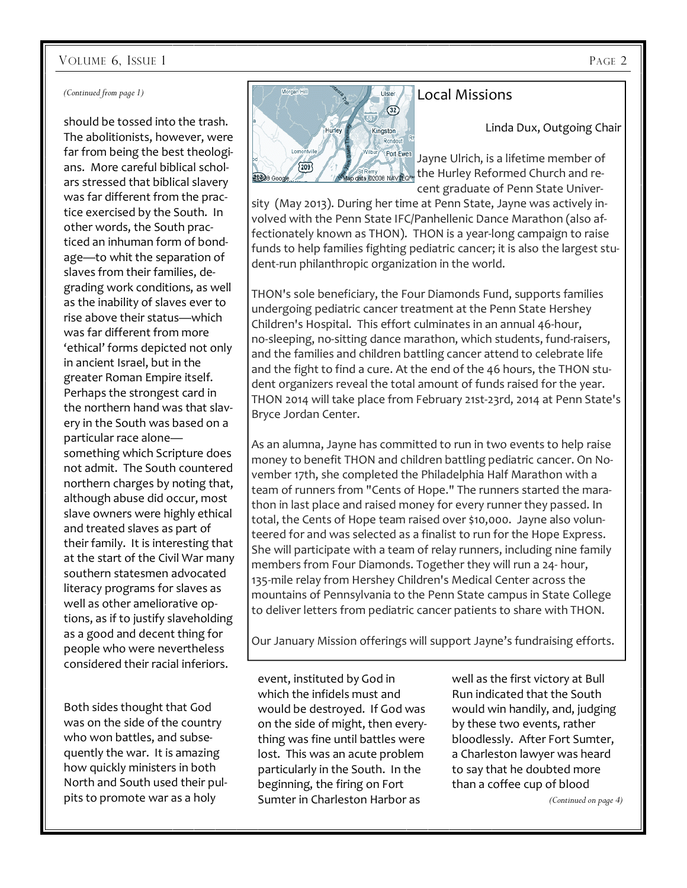### VOLUME 6, ISSUE 1 PAGE 2

#### *(Continued from page 1)*

should be tossed into the trash. The abolitionists, however, were far from being the best theologians. More careful biblical scholars stressed that biblical slavery was far different from the practice exercised by the South. In other words, the South practiced an inhuman form of bondage—to whit the separation of slaves from their families, degrading work conditions, as well as the inability of slaves ever to rise above their status—which was far different from more 'ethical' forms depicted not only in ancient Israel, but in the greater Roman Empire itself. Perhaps the strongest card in the northern hand was that slavery in the South was based on a particular race alone something which Scripture does not admit. The South countered northern charges by noting that, although abuse did occur, most slave owners were highly ethical and treated slaves as part of their family. It is interesting that at the start of the Civil War many southern statesmen advocated literacy programs for slaves as well as other ameliorative options, as if to justify slaveholding as a good and decent thing for people who were nevertheless considered their racial inferiors.

Both sides thought that God was on the side of the country who won battles, and subsequently the war. It is amazing how quickly ministers in both North and South used their pulpits to promote war as a holy



## Local Missions

Linda Dux, Outgoing Chair

Jayne Ulrich, is a lifetime member of the Hurley Reformed Church and recent graduate of Penn State Univer-

sity (May 2013). During her time at Penn State, Jayne was actively involved with the Penn State IFC/Panhellenic Dance Marathon (also affectionately known as THON). THON is a year-long campaign to raise funds to help families fighting pediatric cancer; it is also the largest student-run philanthropic organization in the world.

THON's sole beneficiary, the Four Diamonds Fund, supports families undergoing pediatric cancer treatment at the Penn State Hershey Children's Hospital. This effort culminates in an annual 46-hour, no-sleeping, no-sitting dance marathon, which students, fund-raisers, and the families and children battling cancer attend to celebrate life and the fight to find a cure. At the end of the 46 hours, the THON student organizers reveal the total amount of funds raised for the year. THON 2014 will take place from February 21st-23rd, 2014 at Penn State's Bryce Jordan Center.

As an alumna, Jayne has committed to run in two events to help raise money to benefit THON and children battling pediatric cancer. On November 17th, she completed the Philadelphia Half Marathon with a team of runners from "Cents of Hope." The runners started the marathon in last place and raised money for every runner they passed. In total, the Cents of Hope team raised over \$10,000. Jayne also volunteered for and was selected as a finalist to run for the Hope Express. She will participate with a team of relay runners, including nine family members from Four Diamonds. Together they will run a 24- hour, 135-mile relay from Hershey Children's Medical Center across the mountains of Pennsylvania to the Penn State campus in State College to deliver letters from pediatric cancer patients to share with THON.

Our January Mission offerings will support Jayne's fundraising efforts.

event, instituted by God in which the infidels must and would be destroyed. If God was on the side of might, then everything was fine until battles were lost. This was an acute problem particularly in the South. In the beginning, the firing on Fort Sumter in Charleston Harbor as

well as the first victory at Bull Run indicated that the South would win handily, and, judging by these two events, rather bloodlessly. After Fort Sumter, a Charleston lawyer was heard to say that he doubted more than a coffee cup of blood

*(Continued on page 4)*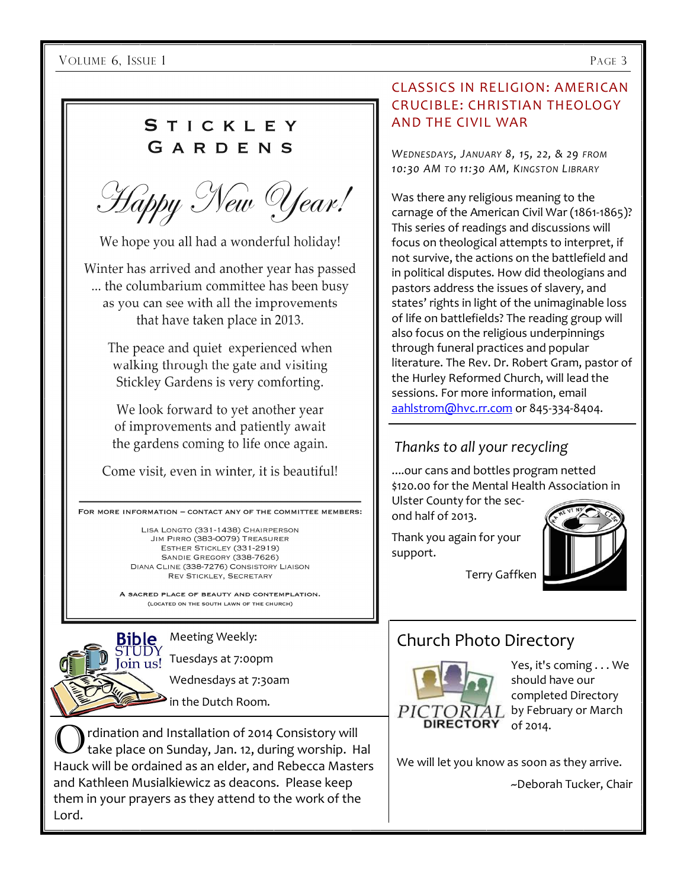VOLUME 6, ISSUE 1 PAGE 3

## STICKLEY GARDENS

Happy New Year!

We hope you all had a wonderful holiday!

Winter has arrived and another year has passed ... the columbarium committee has been busy as you can see with all the improvements that have taken place in 2013.

The peace and quiet experienced when walking through the gate and visiting Stickley Gardens is very comforting.

We look forward to yet another year of improvements and patiently await the gardens coming to life once again.

Come visit, even in winter, it is beautiful!

FOR MORE INFORMATION - CONTACT ANY OF THE COMMITTEE MEMBERS:

LISA LONGTO (331-1438) CHAIRPERSON JIM PIRRO (383-0079) TREASURER ESTHER STICKLEY (331-2919) SANDIE GREGORY (338-7626) DIANA CLINE (338-7276) CONSISTORY LIAISON **REV STICKLEY, SECRETARY** 

A SACRED PLACE OF BEAUTY AND CONTEMPLATION. (LOCATED ON THE SOUTH LAWN OF THE CHURCH)

Bible Join us!

Meeting Weekly:

Tuesdays at 7:00pm

Wednesdays at 7:30am

 $\bullet$  in the Dutch Room.

rdination and Installation of 2014 Consistory will take place on Sunday, Jan. 12, during worship. Hal Hauck will be ordained as an elder, and Rebecca Masters and Kathleen Musialkiewicz as deacons. Please keep them in your prayers as they attend to the work of the Lord.

## CLASSICS IN RELIGION: AMERICAN CRUCIBLE: CHRISTIAN THEOLOGY AND THE CIVIL WAR

*WEDNESDAYS, JANUARY 8, 15, 22, & 29 FROM 10:30 AM TO 11:30 AM, KINGSTON LIBRARY*

Was there any religious meaning to the carnage of the American Civil War (1861-1865)? This series of readings and discussions will focus on theological attempts to interpret, if not survive, the actions on the battlefield and in political disputes. How did theologians and pastors address the issues of slavery, and states' rights in light of the unimaginable loss of life on battlefields? The reading group will also focus on the religious underpinnings through funeral practices and popular literature. The Rev. Dr. Robert Gram, pastor of the Hurley Reformed Church, will lead the sessions. For more information, email aahlstrom@hvc.rr.com or 845-334-8404.

## *Thanks to all your recycling*

....our cans and bottles program netted \$120.00 for the Mental Health Association in Ulster County for the sec-

ond half of 2013.

Thank you again for your support.



## Church Photo Directory



Yes, it's coming . . . We should have our completed Directory by February or March of 2014.

We will let you know as soon as they arrive.

~Deborah Tucker, Chair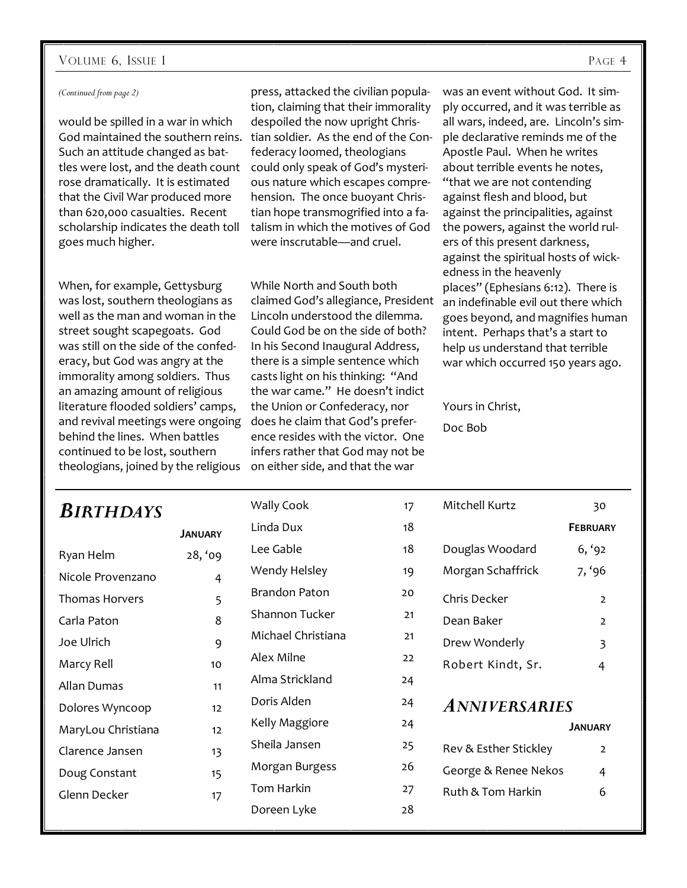### VOLUME 6, ISSUE 1 PAGE 4

#### *(Continued from page 2)*

would be spilled in a war in which God maintained the southern reins. tian soldier. As the end of the Con-Such an attitude changed as battles were lost, and the death count rose dramatically. It is estimated that the Civil War produced more than 620,000 casualties. Recent scholarship indicates the death toll goes much higher.

press, attacked the civilian population, claiming that their immorality despoiled the now upright Chrisfederacy loomed, theologians could only speak of God's mysterious nature which escapes comprehension. The once buoyant Christian hope transmogrified into a fatalism in which the motives of God were inscrutable—and cruel.

When, for example, Gettysburg was lost, southern theologians as well as the man and woman in the street sought scapegoats. God was still on the side of the confederacy, but God was angry at the immorality among soldiers. Thus an amazing amount of religious literature flooded soldiers' camps, and revival meetings were ongoing does he claim that God's preferbehind the lines. When battles continued to be lost, southern theologians, joined by the religious on either side, and that the war

While North and South both claimed God's allegiance, President Lincoln understood the dilemma. Could God be on the side of both? In his Second Inaugural Address, there is a simple sentence which casts light on his thinking: "And the war came." He doesn't indict the Union or Confederacy, nor ence resides with the victor. One infers rather that God may not be

was an event without God. It simply occurred, and it was terrible as all wars, indeed, are. Lincoln's simple declarative reminds me of the Apostle Paul. When he writes about terrible events he notes, "that we are not contending against flesh and blood, but against the principalities, against the powers, against the world rulers of this present darkness, against the spiritual hosts of wickedness in the heavenly places" (Ephesians 6:12). There is an indefinable evil out there which goes beyond, and magnifies human intent. Perhaps that's a start to help us understand that terrible war which occurred 150 years ago.

Yours in Christ,

Doc Bob

| <b>BIRTHDAYS</b>      |                | Wally Cook           | 17 | Mitchell Kurtz        | 30              |
|-----------------------|----------------|----------------------|----|-----------------------|-----------------|
|                       | <b>JANUARY</b> | Linda Dux            | 18 |                       | <b>FEBRUARY</b> |
| Ryan Helm             | 28, '09        | Lee Gable            | 18 | Douglas Woodard       | 6, '92          |
| Nicole Provenzano     | $\overline{4}$ | Wendy Helsley        | 19 | Morgan Schaffrick     | 7, '96          |
| <b>Thomas Horvers</b> | 5              | <b>Brandon Paton</b> | 20 | Chris Decker          | $\overline{2}$  |
| Carla Paton           | 8              | Shannon Tucker       | 21 | Dean Baker            | $\overline{2}$  |
| Joe Ulrich            | 9              | Michael Christiana   | 21 | Drew Wonderly         | 3               |
| Marcy Rell            | 10             | Alex Milne           | 22 | Robert Kindt, Sr.     | 4               |
| Allan Dumas           | 11             | Alma Strickland      | 24 |                       |                 |
| Dolores Wyncoop       | 12             | Doris Alden          | 24 | <b>ANNIVERSARIES</b>  |                 |
| MaryLou Christiana    | 12             | Kelly Maggiore       | 24 |                       | <b>JANUARY</b>  |
| Clarence Jansen       | 13             | Sheila Jansen        | 25 | Rev & Esther Stickley | $\overline{2}$  |
| Doug Constant         | 15             | Morgan Burgess       | 26 | George & Renee Nekos  | 4               |
| Glenn Decker          | 17             | Tom Harkin           | 27 | Ruth & Tom Harkin     | 6               |
|                       |                | Doreen Lyke          | 28 |                       |                 |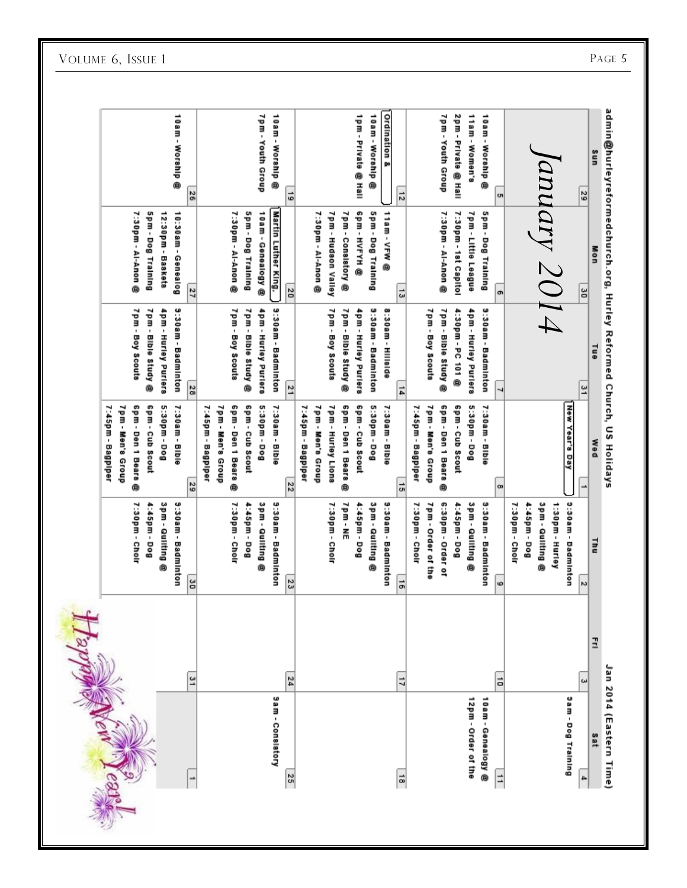|                       |                           | 7:45pm - Bagpiper   |                           |                            |                         |
|-----------------------|---------------------------|---------------------|---------------------------|----------------------------|-------------------------|
|                       |                           | 7pm - Men's Group   |                           |                            |                         |
|                       | 7:30pm - Cholr            | Spm - Den 1 Bears@  | 7pm - Boy Scouts          | 7:30pm - Al-Anon @         |                         |
|                       | 1:45pm - Dog              | Gpm - Cub Scout     | 7pm - Bible Study @       | Spm - Dog Training         |                         |
|                       | 3pm - Quilting @          | 5:30pm - Dog        | 4pm - Hurley Purlers      | 12:30pm - Baskets          |                         |
|                       | 3:30am - Badminton        | 7:30am - Bible      | <b>9:30am - Badminton</b> | 10:30am - Genealog         | 10am - Worship @        |
| 31                    | š                         | $\frac{29}{29}$     | $\frac{28}{28}$           | 27                         | 26                      |
|                       |                           | 7:45pm - Bagplper   |                           |                            |                         |
|                       |                           | 7pm - Men's Group   |                           |                            |                         |
|                       | 7:30pm - Cholr            | 6pm - Den 1 Bears@  | 7pm - Boy Scouts          | 7:30pm - Al-Anon @         |                         |
|                       | 1:45pm - Dog              | Gpm - Cub Scout     | 7pm - Bible Study @       | Spm - Dog Training         |                         |
|                       | 3pm - Quilting<br>®       | 5:30pm - Dog        | 4pm - Hurley Purlers      | 10am - Genealogy @         | 7pm - Youth Group       |
| <b>Sam-Conslatory</b> | 3:30am - Badminton        | 7:30am - Bible      | 9:30am - Badminton        | <b>Martin Luther King.</b> | 10am - Worship @        |
| 24<br>25              | 23                        | 22                  | 21                        | 20                         | $\vec{5}$               |
|                       |                           | 7:45pm - Bagpiper   |                           |                            |                         |
|                       |                           | 7pm - Men's Group   |                           | 7:30 pm - Al-Anon @        |                         |
|                       | 7:30pm - Cholr            | 7pm - Hurley Llons  | 7pm - Boy Scouts          | 7pm - Hudson Valley        |                         |
|                       | 7pm - NE                  | 6pm - Den 1 Bears @ | 7pm - Bible Study @       | 7pm - Consistory @         |                         |
|                       | 1:45pm - Dog              | Gpm - Cub Scout     | 4pm - Hurley Purlers      | <b>GDm-HYHH®</b>           | 1Pm - Private @ Hall    |
|                       | 3pm - Quilting @          | 5:30pm - Dog        | 9:30am - Badminton        | Spm - Dog Training         | 10am - Worship @        |
|                       | 9:30am - Badminton        | 7:30am - Bible      | 8:30am - Hillside         | 11am - VFW @               | <b>Ordination &amp;</b> |
| $\overline{1}$<br>5   | $\vec{a}$                 | 늾                   | 14                        | $\vec{u}$                  | $\frac{1}{2}$           |
|                       | 7:30pm - Cholr            | 7:45pm - Bagplper   |                           |                            |                         |
|                       | 7pm - Order of the        | 7pm - Men's Group   | 7pm - Boy Scouts          |                            |                         |
|                       | 6:30pm - Order of         | 6pm - Den 1 Bears@  | 7pm - Bible Study @       | 7:30pm - Al-Anon @         | 7pm - Youth Group       |
|                       | 1:45pm - Dog              | 6pm - Cub Scout     | 4:30pm - PC 101 @         | 7:30pm - 1st Capitol       | 2pm - Private @ Hall    |
| 12pm - Order of the   | 3pm - Quitting @          | 5:30pm - Dog        | 4pm - Hurley Purlers      | 7pm - Little League        | 11am - Women's          |
| 10am - Genealogy®     | <b>S:30am - Badminton</b> | 7:30am - Bible      | 3:30am - Badminton        | Spm - Dog Training         | 10am - Worship @        |
| ä<br>$\Rightarrow$    | ω                         | œ                   | 4                         | o                          | ch                      |
|                       | 7:30pm - Cholr            |                     |                           |                            |                         |
|                       | 4:45pm - Dog              |                     |                           |                            |                         |
|                       | 3pm - Quilting @          |                     |                           |                            |                         |
|                       | 1:30pm - Hurley           |                     |                           | ${\rm (011)}$ 2014         |                         |
| 9am - Dog Training    | <b>9:30am - Badminton</b> | мем Үеаг'а Day      |                           |                            |                         |
| ω<br>4                | N                         | ∸                   | 의                         | 90                         | 53                      |
| Ξ<br><b>Sat</b>       | 글                         | <b>DeM</b>          | <b>Tue</b>                | Mon                        | uns                     |